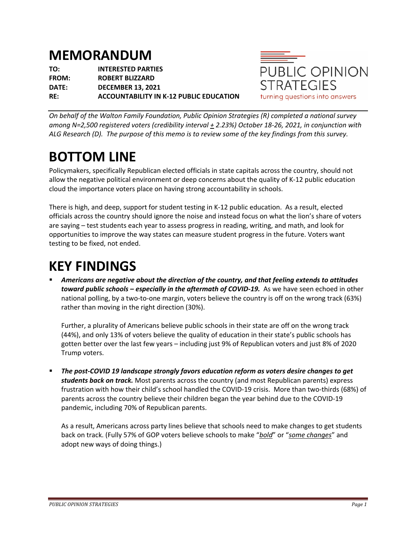## **MEMORANDUM**

**TO: INTERESTED PARTIES FROM: ROBERT BLIZZARD DATE: DECEMBER 13, 2021 RE: ACCOUNTABILITY IN K-12 PUBLIC EDUCATION**



*On behalf of the Walton Family Foundation, Public Opinion Strategies (R) completed a national survey among N=2,500 registered voters (credibility interval + 2.23%) October 18-26, 2021, in conjunction with ALG Research (D). The purpose of this memo is to review some of the key findings from this survey.*

## **BOTTOM LINE**

Policymakers, specifically Republican elected officials in state capitals across the country, should not allow the negative political environment or deep concerns about the quality of K-12 public education cloud the importance voters place on having strong accountability in schools.

There is high, and deep, support for student testing in K-12 public education. As a result, elected officials across the country should ignore the noise and instead focus on what the lion's share of voters are saying – test students each year to assess progress in reading, writing, and math, and look for opportunities to improve the way states can measure student progress in the future. Voters want testing to be fixed, not ended.

## **KEY FINDINGS**

§ *Americans are negative about the direction of the country, and that feeling extends to attitudes toward public schools – especially in the aftermath of COVID-19.* As we have seen echoed in other national polling, by a two-to-one margin, voters believe the country is off on the wrong track (63%) rather than moving in the right direction (30%).

Further, a plurality of Americans believe public schools in their state are off on the wrong track (44%), and only 13% of voters believe the quality of education in their state's public schools has gotten better over the last few years – including just 9% of Republican voters and just 8% of 2020 Trump voters.

§ *The post-COVID 19 landscape strongly favors education reform as voters desire changes to get students back on track.* Most parents across the country (and most Republican parents) express frustration with how their child's school handled the COVID-19 crisis. More than two-thirds (68%) of parents across the country believe their children began the year behind due to the COVID-19 pandemic, including 70% of Republican parents.

As a result, Americans across party lines believe that schools need to make changes to get students back on track. (Fully 57% of GOP voters believe schools to make "*bold*" or "*some changes*" and adopt new ways of doing things.)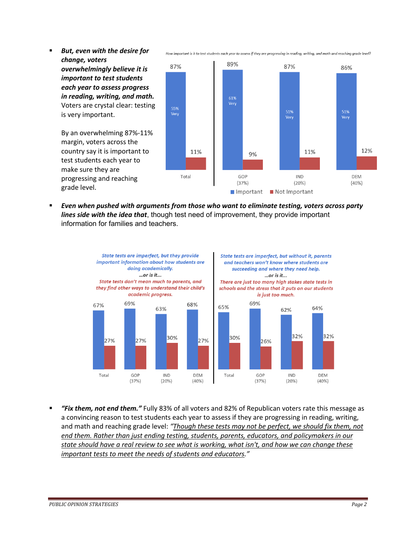- § *But, even with the desire for change, voters*  89% 87% 87% 86% *overwhelmingly believe it is important to test students each year to assess progress in reading, writing, and math.*  61% Voters are crystal clear: testing 55%<br>Very 51%<br>Very 51%<br>Very is very important. By an overwhelming 87%-11% margin, voters across the 12% country say it is important to 11% 11% 9% test students each year to make sure they are GOP **IND** Total **DFM** progressing and reaching  $(37%)$  $(20%)$  $(40%)$ grade level.
- § *Even when pushed with arguments from those who want to eliminate testing, voters across party lines side with the idea that*, though test need of improvement, they provide important information for families and teachers.



§ *"Fix them, not end them."* Fully 83% of all voters and 82% of Republican voters rate this message as a convincing reason to test students each year to assess if they are progressing in reading, writing, and math and reaching grade level: *"Though these tests may not be perfect, we should fix them, not end them. Rather than just ending testing, students, parents, educators, and policymakers in our state should have a real review to see what is working, what isn't, and how we can change these important tests to meet the needs of students and educators."*

How important is it to test students each year to assess if they are progressing in reading, writing, and math and reaching grade level?

Important Not Important